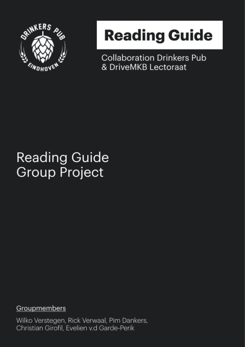

# **Reading Guide**

**Collaboration Drinkers Pub** & DriveMKB Lectoraat

### **Reading Guide Group Project**

Groupmembers

Wilko Verstegen, Rick Verwaal, Pim Dankers, Christian Girofil, Evelien v.d Garde-Perik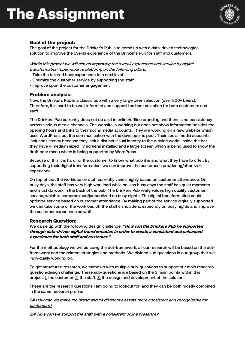

### Goal of the project:

The goal of the project for the Drinker's Pub is to come up with a data-driven technological solution to improve the overall experience of the Drinker's Pub for staff and customers.

Within this project we will aim on improving the overall experience and service by digital transformation (open-source platform) on the following pillars:

- Take the tailored beer experience to a next level.
- Optimize the customer service by supporting the staff.
- Improve upon the customer engagement.

#### Problem analysis:

Now, the Drinkers Pub is a classic pub with a very large beer selection (over 800+ beers). Therefore, it is hard to be well informed and support the beer selection for both customers and staff.

The Drinkers Pub currently does not do a lot in online/offline branding and there is no consistency across various media channels. The website is working but does not show information besides the opening hours and links to their social media accounts. They are working on a new website which uses WordPress but the communication with the developer is poor. Their social media accounts lack consistency because they lack a distinct visual identity to the outside world. Inside the bar they have 4 medium sized TV screens installed and a large screen which is being used to show the draft beer menu which is being supported by WordPress.

Because of this it is hard for the customer to know what pub it is and what they have to offer. By supporting their digital transformation, we can improve the customer's pre/during/after-visit experience.

On top of that the workload on staff currently varies highly based on customer attendance. On busy days, the staff has very high workload while on less busy days the staff has quiet moments and must do work in the back of the pub. The Drinkers Pub really values high quality customer service, which is compromised/jeopardized on busy nights. The digital transformation could optimize service based on customer attendance. By making part of the service digitally supported we can take some of the workload off the staff's shoulders, especially on busy nights and improve the customer experience as well.

#### Research Question:

We came up with the following design challenge: "How can the Drinkers Pub be supported through data-driven digital transformation in order to create a consistent and enhanced experience for both staff and customer."

For the methodology we will be using the dot-framework, all our research will be based on the dotframework and the related strategies and methods. We divided sub questions in our group that we individually working on.

To get structured research, we came up with multiple sub-questions to support our main research question/design challenge. These sub-questions are based on the 3 main points within this project. 1. the customer. 2. the staff. 3. the design and development of the solution.

These are the research questions I am going to lookout for, and they can be both mostly combined in the same research profile:

#### 1.4 How can we make the brand and its distinctive assets more consistent and recognizable for customers?

2.4 How can we support the staff with a consistent online presence?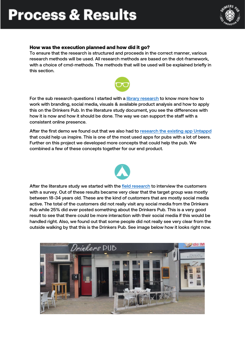# **Process & Results**



### How was the execution planned and how did it go?

To ensure that the research is structured and proceeds in the correct manner, various research methods will be used. All research methods are based on the dot-framework, with a choice of cmd-methods. The methods that will be used will be explained briefly in this section.



For the sub research questions I started with a [library research](https://pimdankers.com/wp-content/uploads/2022/04/Research-question-3-Pim.pdf) to know more how to work with branding, social media, visuals & available product analysis and how to apply this on the Drinkers Pub. In the literature study document, you see the differences with how it is now and how it should be done. The way we can support the staff with a consistent online presence.

After the first demo we found out that we also had to [research the existing app Untappd](https://pimdankers.com/wp-content/uploads/2022/04/Untappd-Research.pdf) that could help us inspire. This is one of the most used apps for pubs with a lot of beers. Further on this project we developed more concepts that could help the pub. We combined a few of these concepts together for our end product.



After the literature study we started with the [field research](https://pimdankers.com/semester-6-survey/) to interview the customers with a survey. Out of these results became very clear that the target group was mostly between 18-34 years old. These are the kind of customers that are mostly social media active. The total of the customers did not really visit any social media from the Drinkers Pub while 25% did ever posted something about the Drinkers Pub. This is a very good result to see that there could be more interaction with their social media if this would be handled right. Also, we found out that some people did not really see very clear from the outside walking by that this is the Drinkers Pub. See image below how it looks right now.